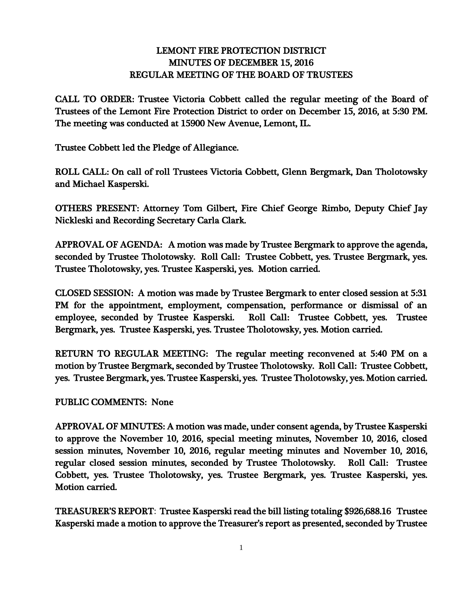## LEMONT FIRE PROTECTION DISTRICT MINUTES OF DECEMBER 15, 2016 REGULAR MEETING OF THE BOARD OF TRUSTEES

CALL TO ORDER: Trustee Victoria Cobbett called the regular meeting of the Board of Trustees of the Lemont Fire Protection District to order on December 15, 2016, at 5:30 PM. The meeting was conducted at 15900 New Avenue, Lemont, IL.

Trustee Cobbett led the Pledge of Allegiance.

ROLL CALL: On call of roll Trustees Victoria Cobbett, Glenn Bergmark, Dan Tholotowsky and Michael Kasperski.

OTHERS PRESENT: Attorney Tom Gilbert, Fire Chief George Rimbo, Deputy Chief Jay Nickleski and Recording Secretary Carla Clark.

APPROVAL OF AGENDA: A motion was made by Trustee Bergmark to approve the agenda, seconded by Trustee Tholotowsky. Roll Call: Trustee Cobbett, yes. Trustee Bergmark, yes. Trustee Tholotowsky, yes. Trustee Kasperski, yes. Motion carried.

CLOSED SESSION: A motion was made by Trustee Bergmark to enter closed session at 5:31 PM for the appointment, employment, compensation, performance or dismissal of an employee, seconded by Trustee Kasperski. Roll Call: Trustee Cobbett, yes. Trustee Bergmark, yes. Trustee Kasperski, yes. Trustee Tholotowsky, yes. Motion carried.

RETURN TO REGULAR MEETING: The regular meeting reconvened at 5:40 PM on a motion by Trustee Bergmark, seconded by Trustee Tholotowsky. Roll Call: Trustee Cobbett, yes. Trustee Bergmark, yes. Trustee Kasperski, yes. Trustee Tholotowsky, yes. Motion carried.

## PUBLIC COMMENTS: None

APPROVAL OF MINUTES: A motion was made, under consent agenda, by Trustee Kasperski to approve the November 10, 2016, special meeting minutes, November 10, 2016, closed session minutes, November 10, 2016, regular meeting minutes and November 10, 2016, regular closed session minutes, seconded by Trustee Tholotowsky. Roll Call: Trustee Cobbett, yes. Trustee Tholotowsky, yes. Trustee Bergmark, yes. Trustee Kasperski, yes. Motion carried.

TREASURER'S REPORT: Trustee Kasperski read the bill listing totaling \$926,688.16 Trustee Kasperski made a motion to approve the Treasurer's report as presented, seconded by Trustee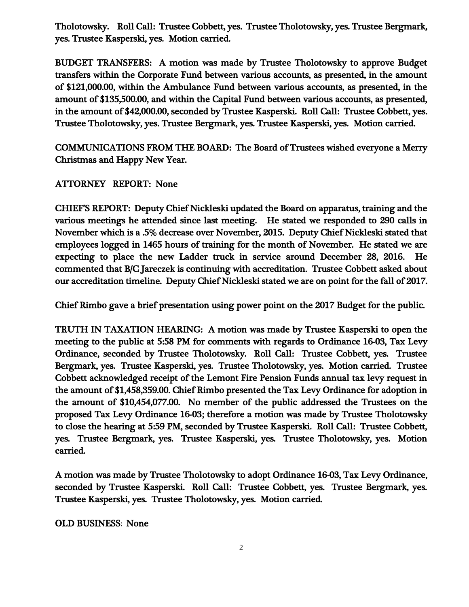Tholotowsky. Roll Call: Trustee Cobbett, yes. Trustee Tholotowsky, yes. Trustee Bergmark, yes. Trustee Kasperski, yes. Motion carried.

BUDGET TRANSFERS: A motion was made by Trustee Tholotowsky to approve Budget transfers within the Corporate Fund between various accounts, as presented, in the amount of \$121,000.00, within the Ambulance Fund between various accounts, as presented, in the amount of \$135,500.00, and within the Capital Fund between various accounts, as presented, in the amount of \$42,000.00, seconded by Trustee Kasperski. Roll Call: Trustee Cobbett, yes. Trustee Tholotowsky, yes. Trustee Bergmark, yes. Trustee Kasperski, yes. Motion carried.

COMMUNICATIONS FROM THE BOARD: The Board of Trustees wished everyone a Merry Christmas and Happy New Year.

## ATTORNEY REPORT: None

CHIEF'S REPORT: Deputy Chief Nickleski updated the Board on apparatus, training and the various meetings he attended since last meeting. He stated we responded to 290 calls in November which is a .5% decrease over November, 2015. Deputy Chief Nickleski stated that employees logged in 1465 hours of training for the month of November. He stated we are expecting to place the new Ladder truck in service around December 28, 2016. He commented that B/C Jareczek is continuing with accreditation. Trustee Cobbett asked about our accreditation timeline. Deputy Chief Nickleski stated we are on point for the fall of 2017.

Chief Rimbo gave a brief presentation using power point on the 2017 Budget for the public.

TRUTH IN TAXATION HEARING: A motion was made by Trustee Kasperski to open the meeting to the public at 5:58 PM for comments with regards to Ordinance 16-03, Tax Levy Ordinance, seconded by Trustee Tholotowsky. Roll Call: Trustee Cobbett, yes. Trustee Bergmark, yes. Trustee Kasperski, yes. Trustee Tholotowsky, yes. Motion carried. Trustee Cobbett acknowledged receipt of the Lemont Fire Pension Funds annual tax levy request in the amount of \$1,458,359.00. Chief Rimbo presented the Tax Levy Ordinance for adoption in the amount of \$10,454,077.00. No member of the public addressed the Trustees on the proposed Tax Levy Ordinance 16-03; therefore a motion was made by Trustee Tholotowsky to close the hearing at 5:59 PM, seconded by Trustee Kasperski. Roll Call: Trustee Cobbett, yes. Trustee Bergmark, yes. Trustee Kasperski, yes. Trustee Tholotowsky, yes. Motion carried.

A motion was made by Trustee Tholotowsky to adopt Ordinance 16-03, Tax Levy Ordinance, seconded by Trustee Kasperski. Roll Call: Trustee Cobbett, yes. Trustee Bergmark, yes. Trustee Kasperski, yes. Trustee Tholotowsky, yes. Motion carried.

OLD BUSINESS: None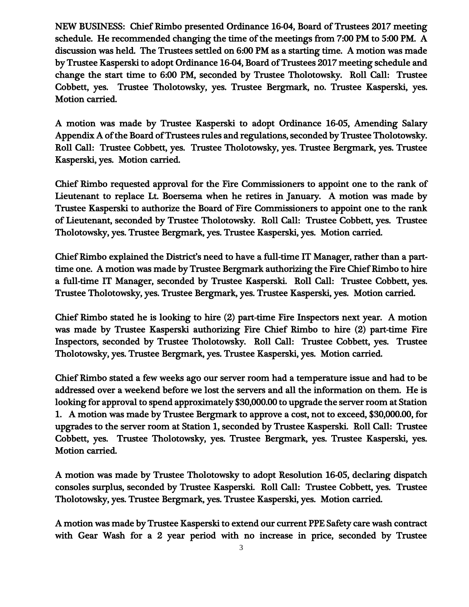NEW BUSINESS: Chief Rimbo presented Ordinance 16-04, Board of Trustees 2017 meeting schedule. He recommended changing the time of the meetings from 7:00 PM to 5:00 PM. A discussion was held. The Trustees settled on 6:00 PM as a starting time. A motion was made by Trustee Kasperski to adopt Ordinance 16-04, Board of Trustees 2017 meeting schedule and change the start time to 6:00 PM, seconded by Trustee Tholotowsky. Roll Call: Trustee Cobbett, yes. Trustee Tholotowsky, yes. Trustee Bergmark, no. Trustee Kasperski, yes. Motion carried.

A motion was made by Trustee Kasperski to adopt Ordinance 16-05, Amending Salary Appendix A of the Board of Trustees rules and regulations, seconded by Trustee Tholotowsky. Roll Call: Trustee Cobbett, yes. Trustee Tholotowsky, yes. Trustee Bergmark, yes. Trustee Kasperski, yes. Motion carried.

Chief Rimbo requested approval for the Fire Commissioners to appoint one to the rank of Lieutenant to replace Lt. Boersema when he retires in January. A motion was made by Trustee Kasperski to authorize the Board of Fire Commissioners to appoint one to the rank of Lieutenant, seconded by Trustee Tholotowsky. Roll Call: Trustee Cobbett, yes. Trustee Tholotowsky, yes. Trustee Bergmark, yes. Trustee Kasperski, yes. Motion carried.

Chief Rimbo explained the District's need to have a full-time IT Manager, rather than a parttime one. A motion was made by Trustee Bergmark authorizing the Fire Chief Rimbo to hire a full-time IT Manager, seconded by Trustee Kasperski. Roll Call: Trustee Cobbett, yes. Trustee Tholotowsky, yes. Trustee Bergmark, yes. Trustee Kasperski, yes. Motion carried.

Chief Rimbo stated he is looking to hire (2) part-time Fire Inspectors next year. A motion was made by Trustee Kasperski authorizing Fire Chief Rimbo to hire (2) part-time Fire Inspectors, seconded by Trustee Tholotowsky. Roll Call: Trustee Cobbett, yes. Trustee Tholotowsky, yes. Trustee Bergmark, yes. Trustee Kasperski, yes. Motion carried.

Chief Rimbo stated a few weeks ago our server room had a temperature issue and had to be addressed over a weekend before we lost the servers and all the information on them. He is looking for approval to spend approximately \$30,000.00 to upgrade the server room at Station 1. A motion was made by Trustee Bergmark to approve a cost, not to exceed, \$30,000.00, for upgrades to the server room at Station 1, seconded by Trustee Kasperski. Roll Call: Trustee Cobbett, yes. Trustee Tholotowsky, yes. Trustee Bergmark, yes. Trustee Kasperski, yes. Motion carried.

A motion was made by Trustee Tholotowsky to adopt Resolution 16-05, declaring dispatch consoles surplus, seconded by Trustee Kasperski. Roll Call: Trustee Cobbett, yes. Trustee Tholotowsky, yes. Trustee Bergmark, yes. Trustee Kasperski, yes. Motion carried.

A motion was made by Trustee Kasperski to extend our current PPE Safety care wash contract with Gear Wash for a 2 year period with no increase in price, seconded by Trustee